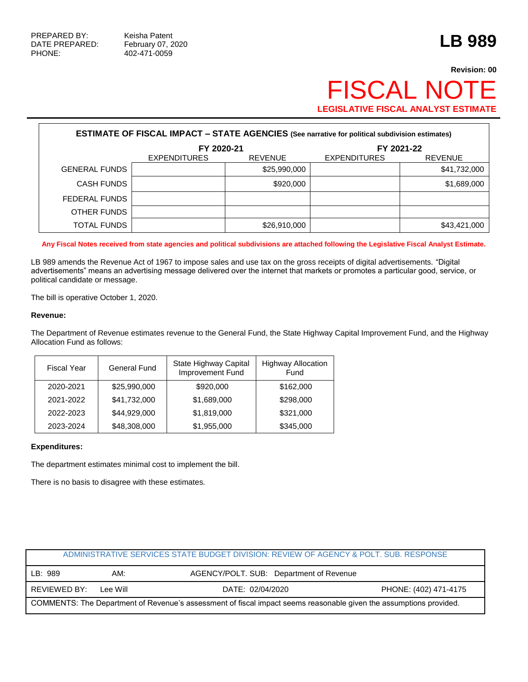# **Revision: 00 FISCAL NOT LEGISLATIVE FISCAL ANALYST ESTIMATE**

| <b>ESTIMATE OF FISCAL IMPACT - STATE AGENCIES (See narrative for political subdivision estimates)</b> |                                       |              |                     |                |  |  |  |
|-------------------------------------------------------------------------------------------------------|---------------------------------------|--------------|---------------------|----------------|--|--|--|
|                                                                                                       | FY 2020-21                            |              |                     | FY 2021-22     |  |  |  |
|                                                                                                       | <b>EXPENDITURES</b><br><b>REVENUE</b> |              | <b>EXPENDITURES</b> | <b>REVENUE</b> |  |  |  |
| <b>GENERAL FUNDS</b>                                                                                  |                                       | \$25,990,000 |                     | \$41,732,000   |  |  |  |
| <b>CASH FUNDS</b>                                                                                     |                                       | \$920,000    |                     | \$1,689,000    |  |  |  |
| FEDERAL FUNDS                                                                                         |                                       |              |                     |                |  |  |  |
| OTHER FUNDS                                                                                           |                                       |              |                     |                |  |  |  |
| TOTAL FUNDS                                                                                           |                                       | \$26,910,000 |                     | \$43,421,000   |  |  |  |

**Any Fiscal Notes received from state agencies and political subdivisions are attached following the Legislative Fiscal Analyst Estimate.**

LB 989 amends the Revenue Act of 1967 to impose sales and use tax on the gross receipts of digital advertisements. "Digital advertisements" means an advertising message delivered over the internet that markets or promotes a particular good, service, or political candidate or message.

The bill is operative October 1, 2020.

#### **Revenue:**

The Department of Revenue estimates revenue to the General Fund, the State Highway Capital Improvement Fund, and the Highway Allocation Fund as follows:

| <b>Fiscal Year</b> | <b>General Fund</b> | State Highway Capital<br>Improvement Fund | <b>Highway Allocation</b><br>Fund |
|--------------------|---------------------|-------------------------------------------|-----------------------------------|
| 2020-2021          | \$25,990,000        | \$920,000                                 | \$162,000                         |
| 2021-2022          | \$41,732,000        | \$1,689,000                               | \$298,000                         |
| 2022-2023          | \$44,929,000        | \$1,819,000                               | \$321,000                         |
| 2023-2024          | \$48,308,000        | \$1,955,000                               | \$345,000                         |

### **Expenditures:**

The department estimates minimal cost to implement the bill.

There is no basis to disagree with these estimates.

|                                                                                                                    |          | ADMINISTRATIVE SERVICES STATE BUDGET DIVISION: REVIEW OF AGENCY & POLT, SUB, RESPONSE |                       |  |
|--------------------------------------------------------------------------------------------------------------------|----------|---------------------------------------------------------------------------------------|-----------------------|--|
| LB: 989                                                                                                            | AM:      | AGENCY/POLT. SUB: Department of Revenue                                               |                       |  |
| REVIEWED BY:                                                                                                       | Lee Will | DATE: 02/04/2020                                                                      | PHONE: (402) 471-4175 |  |
| COMMENTS: The Department of Revenue's assessment of fiscal impact seems reasonable given the assumptions provided. |          |                                                                                       |                       |  |